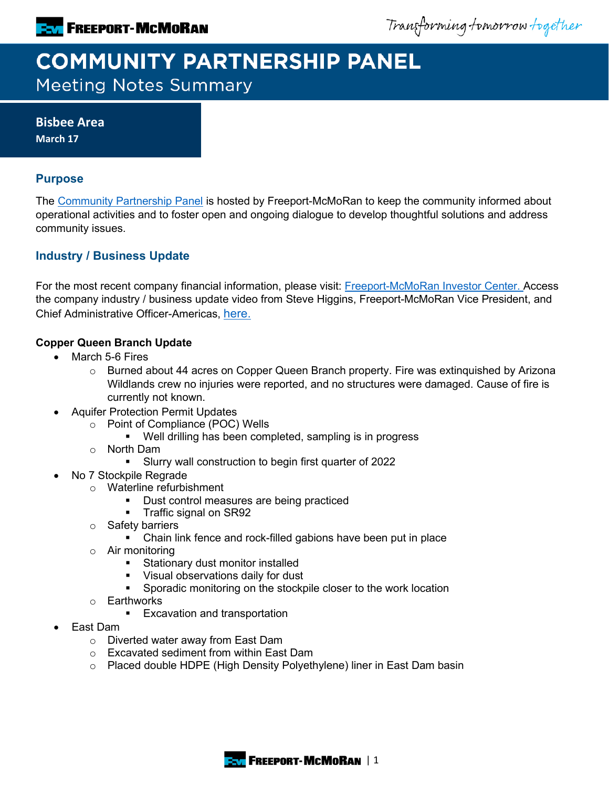Transforming tomorrow together

# **COMMUNITY PARTNERSHIP PANEL Meeting Notes Summary**

**Bisbee Area March 17**

### **Purpose**

The [Community Partnership Panel](https://www.freeportinmycommunity.com/stakeholders/stakeholder-engagement-) is hosted by Freeport-McMoRan to keep the community informed about operational activities and to foster open and ongoing dialogue to develop thoughtful solutions and address community issues.

## **Industry / Business Update**

For the most recent company financial information, please visit: **Freeport-McMoRan Investor Center.** Access the company industry / business update video from Steve Higgins, Freeport-McMoRan Vice President, and Chief Administrative Officer-Americas, [here.](https://fmi.hosted.panopto.com/Panopto/Pages/Viewer.aspx?id=ddb8f262-b718-47d5-861b-ae2b015a79a0)

#### **Copper Queen Branch Update**

- March 5-6 Fires
	- o Burned about 44 acres on Copper Queen Branch property. Fire was extinquished by Arizona Wildlands crew no injuries were reported, and no structures were damaged. Cause of fire is currently not known.
- Aquifer Protection Permit Updates
	- o Point of Compliance (POC) Wells<br>■ Well drilling has been com
		- Well drilling has been completed, sampling is in progress
	- o North Dam<br>Slurی∎
		- Slurry wall construction to begin first quarter of 2022
- No 7 Stockpile Regrade
	- o Waterline refurbishment
		- **Dust control measures are being practiced**
		- **Traffic signal on SR92**
	- o Safety barriers
		- Chain link fence and rock-filled gabions have been put in place
	- $\circ$  Air monitoring
		- **Stationary dust monitor installed**
		- Visual observations daily for dust
		- Sporadic monitoring on the stockpile closer to the work location
	- o Earthworks
		- **Excavation and transportation**
- East Dam
	- o Diverted water away from East Dam
	- o Excavated sediment from within East Dam
	- o Placed double HDPE (High Density Polyethylene) liner in East Dam basin